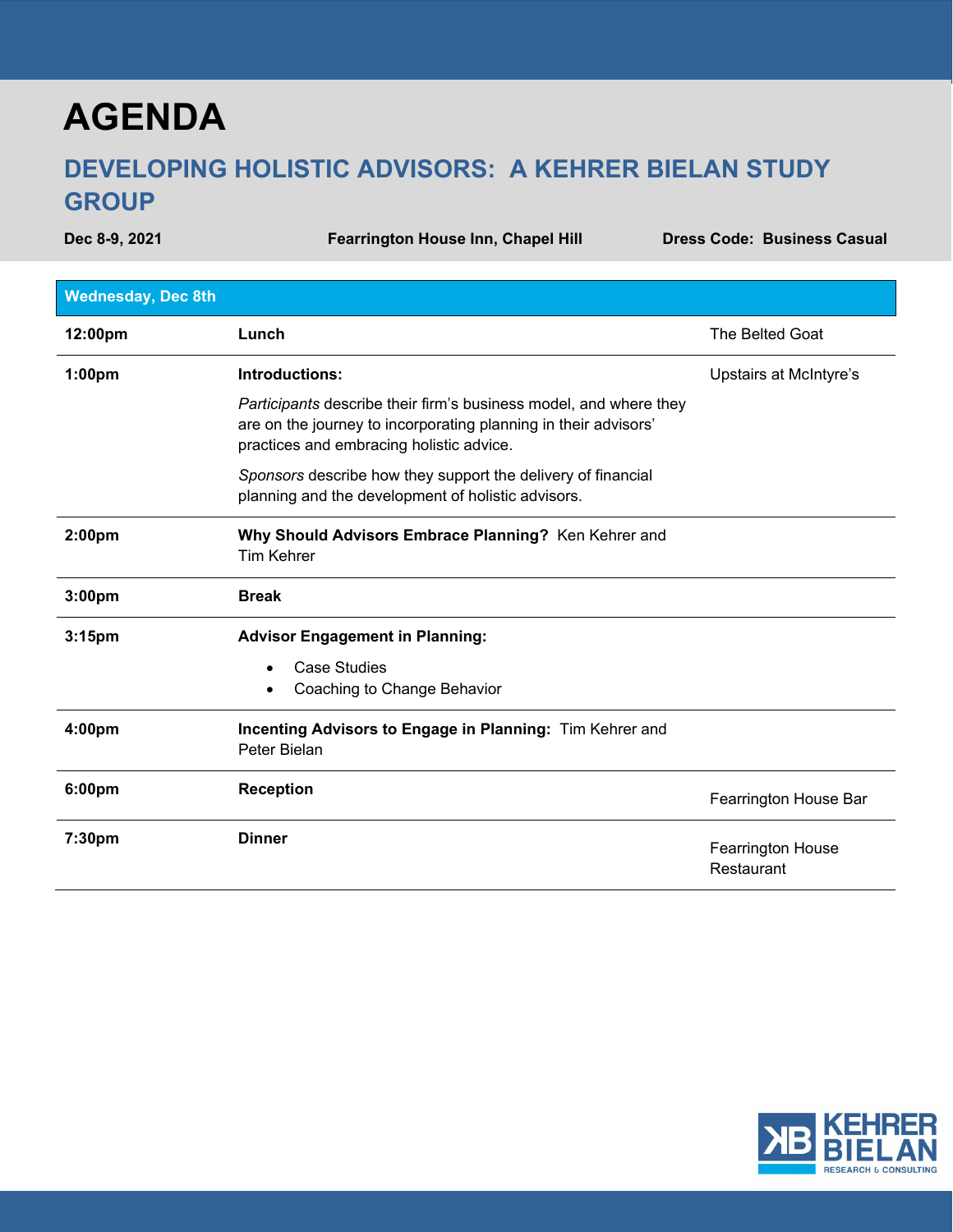## **AGENDA**

## **DEVELOPING HOLISTIC ADVISORS: A KEHRER BIELAN STUDY GROUP**

Dec 8-9, 2021 **Fearrington House Inn, Chapel Hill Chapes** Code: Business Casual **Dress Code: Business Casual** 

| <b>Wednesday, Dec 8th</b> |                                                                                                                                                                                  |                                        |
|---------------------------|----------------------------------------------------------------------------------------------------------------------------------------------------------------------------------|----------------------------------------|
| 12:00pm                   | Lunch                                                                                                                                                                            | The Belted Goat                        |
| 1:00pm                    | Introductions:                                                                                                                                                                   | Upstairs at McIntyre's                 |
|                           | Participants describe their firm's business model, and where they<br>are on the journey to incorporating planning in their advisors'<br>practices and embracing holistic advice. |                                        |
|                           | Sponsors describe how they support the delivery of financial<br>planning and the development of holistic advisors.                                                               |                                        |
| 2:00 <sub>pm</sub>        | Why Should Advisors Embrace Planning? Ken Kehrer and<br><b>Tim Kehrer</b>                                                                                                        |                                        |
| 3:00 <sub>pm</sub>        | <b>Break</b>                                                                                                                                                                     |                                        |
| 3:15 <sub>pm</sub>        | <b>Advisor Engagement in Planning:</b>                                                                                                                                           |                                        |
|                           | <b>Case Studies</b><br>$\bullet$                                                                                                                                                 |                                        |
|                           | Coaching to Change Behavior<br>٠                                                                                                                                                 |                                        |
| 4:00pm                    | Incenting Advisors to Engage in Planning: Tim Kehrer and<br>Peter Bielan                                                                                                         |                                        |
| 6:00pm                    | <b>Reception</b>                                                                                                                                                                 | Fearrington House Bar                  |
| 7:30pm                    | <b>Dinner</b>                                                                                                                                                                    | <b>Fearrington House</b><br>Restaurant |